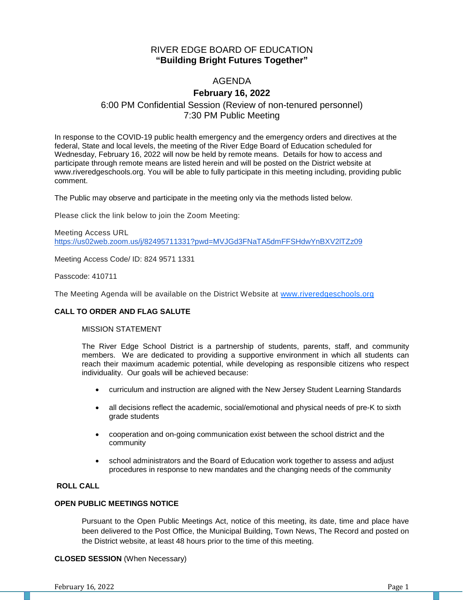## RIVER EDGE BOARD OF EDUCATION **"Building Bright Futures Together"**

# AGENDA

# **February 16, 2022**

# 6:00 PM Confidential Session (Review of non-tenured personnel) 7:30 PM Public Meeting

In response to the COVID-19 public health emergency and the emergency orders and directives at the federal, State and local levels, the meeting of the River Edge Board of Education scheduled for Wednesday, February 16, 2022 will now be held by remote means. Details for how to access and participate through remote means are listed herein and will be posted on the District website at www.riveredgeschools.org. You will be able to fully participate in this meeting including, providing public comment.

The Public may observe and participate in the meeting only via the methods listed below.

Please click the link below to join the Zoom Meeting:

Meeting Access URL <https://us02web.zoom.us/j/82495711331?pwd=MVJGd3FNaTA5dmFFSHdwYnBXV2lTZz09>

Meeting Access Code/ ID: 824 9571 1331

Passcode: 410711

The Meeting Agenda will be available on the District Website at www[.riveredgeschools.org](http://riveredgeschools.org/)

## **CALL TO ORDER AND FLAG SALUTE**

### MISSION STATEMENT

The River Edge School District is a partnership of students, parents, staff, and community members. We are dedicated to providing a supportive environment in which all students can reach their maximum academic potential, while developing as responsible citizens who respect individuality. Our goals will be achieved because:

- curriculum and instruction are aligned with the New Jersey Student Learning Standards
- all decisions reflect the academic, social/emotional and physical needs of pre-K to sixth grade students
- cooperation and on-going communication exist between the school district and the community
- school administrators and the Board of Education work together to assess and adjust procedures in response to new mandates and the changing needs of the community

## **ROLL CALL**

#### **OPEN PUBLIC MEETINGS NOTICE**

Pursuant to the Open Public Meetings Act, notice of this meeting, its date, time and place have been delivered to the Post Office, the Municipal Building, Town News, The Record and posted on the District website, at least 48 hours prior to the time of this meeting.

## **CLOSED SESSION** (When Necessary)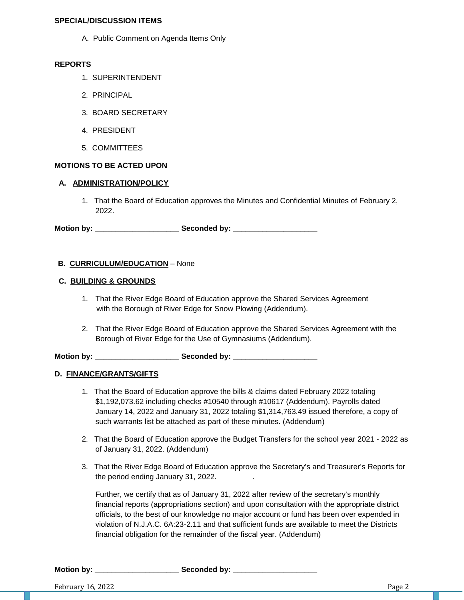#### **SPECIAL/DISCUSSION ITEMS**

A. Public Comment on Agenda Items Only

### **REPORTS**

- 1. SUPERINTENDENT
- 2. PRINCIPAL
- 3. BOARD SECRETARY
- 4. PRESIDENT
- 5. COMMITTEES

## **MOTIONS TO BE ACTED UPON**

## **A. ADMINISTRATION/POLICY**

1. That the Board of Education approves the Minutes and Confidential Minutes of February 2, 2022.

**Motion by: \_\_\_\_\_\_\_\_\_\_\_\_\_\_\_\_\_\_\_\_ Seconded by: \_\_\_\_\_\_\_\_\_\_\_\_\_\_\_\_\_\_\_\_**

## **B. CURRICULUM/EDUCATION** – None

#### **C. BUILDING & GROUNDS**

- 1. That the River Edge Board of Education approve the Shared Services Agreement with the Borough of River Edge for Snow Plowing (Addendum).
- 2. That the River Edge Board of Education approve the Shared Services Agreement with the Borough of River Edge for the Use of Gymnasiums (Addendum).

**Motion by: \_\_\_\_\_\_\_\_\_\_\_\_\_\_\_\_\_\_\_\_ Seconded by: \_\_\_\_\_\_\_\_\_\_\_\_\_\_\_\_\_\_\_\_**

## **D. FINANCE/GRANTS/GIFTS**

- 1. That the Board of Education approve the bills & claims dated February 2022 totaling \$1,192,073.62 including checks #10540 through #10617 (Addendum). Payrolls dated January 14, 2022 and January 31, 2022 totaling \$1,314,763.49 issued therefore, a copy of such warrants list be attached as part of these minutes. (Addendum)
- 2. That the Board of Education approve the Budget Transfers for the school year 2021 2022 as of January 31, 2022. (Addendum)
- 3. That the River Edge Board of Education approve the Secretary's and Treasurer's Reports for the period ending January 31, 2022. .

Further, we certify that as of January 31, 2022 after review of the secretary's monthly financial reports (appropriations section) and upon consultation with the appropriate district officials, to the best of our knowledge no major account or fund has been over expended in violation of N.J.A.C. 6A:23-2.11 and that sufficient funds are available to meet the Districts financial obligation for the remainder of the fiscal year. (Addendum)

Motion by: **Example 20 Seconded by:** Seconded by: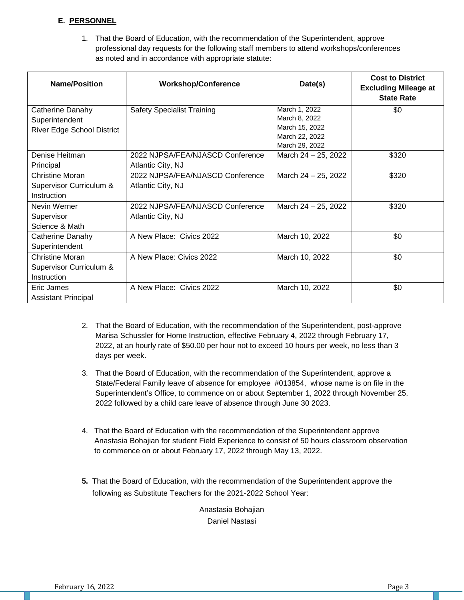## **E. PERSONNEL**

1. That the Board of Education, with the recommendation of the Superintendent, approve professional day requests for the following staff members to attend workshops/conferences as noted and in accordance with appropriate statute:

| <b>Name/Position</b>              | <b>Workshop/Conference</b>        | Date(s)                          | <b>Cost to District</b><br><b>Excluding Mileage at</b><br><b>State Rate</b> |
|-----------------------------------|-----------------------------------|----------------------------------|-----------------------------------------------------------------------------|
| Catherine Danahy                  | <b>Safety Specialist Training</b> | March 1, 2022                    | \$0                                                                         |
| Superintendent                    |                                   | March 8, 2022                    |                                                                             |
| <b>River Edge School District</b> |                                   | March 15, 2022                   |                                                                             |
|                                   |                                   | March 22, 2022<br>March 29, 2022 |                                                                             |
| Denise Heitman                    | 2022 NJPSA/FEA/NJASCD Conference  | March $24 - 25$ , 2022           | \$320                                                                       |
| Principal                         | Atlantic City, NJ                 |                                  |                                                                             |
| Christine Moran                   | 2022 NJPSA/FEA/NJASCD Conference  | March 24 - 25, 2022              | \$320                                                                       |
| Supervisor Curriculum &           | Atlantic City, NJ                 |                                  |                                                                             |
| Instruction                       |                                   |                                  |                                                                             |
| Nevin Werner                      | 2022 NJPSA/FEA/NJASCD Conference  | March 24 - 25, 2022              | \$320                                                                       |
| Supervisor                        | Atlantic City, NJ                 |                                  |                                                                             |
| Science & Math                    |                                   |                                  |                                                                             |
| Catherine Danahy                  | A New Place: Civics 2022          | March 10, 2022                   | \$0                                                                         |
| Superintendent                    |                                   |                                  |                                                                             |
| <b>Christine Moran</b>            | A New Place: Civics 2022          | March 10, 2022                   | \$0                                                                         |
| Supervisor Curriculum &           |                                   |                                  |                                                                             |
| Instruction                       |                                   |                                  |                                                                             |
| Eric James                        | A New Place: Civics 2022          | March 10, 2022                   | \$0                                                                         |
| <b>Assistant Principal</b>        |                                   |                                  |                                                                             |

- 2. That the Board of Education, with the recommendation of the Superintendent, post-approve Marisa Schussler for Home Instruction, effective February 4, 2022 through February 17, 2022, at an hourly rate of \$50.00 per hour not to exceed 10 hours per week, no less than 3 days per week.
- 3. That the Board of Education, with the recommendation of the Superintendent, approve a State/Federal Family leave of absence for employee #013854, whose name is on file in the Superintendent's Office, to commence on or about September 1, 2022 through November 25, 2022 followed by a child care leave of absence through June 30 2023.
- 4. That the Board of Education with the recommendation of the Superintendent approve Anastasia Bohajian for student Field Experience to consist of 50 hours classroom observation to commence on or about February 17, 2022 through May 13, 2022.
- **5.** That the Board of Education, with the recommendation of the Superintendent approve the following as Substitute Teachers for the 2021-2022 School Year:

Anastasia Bohajian Daniel Nastasi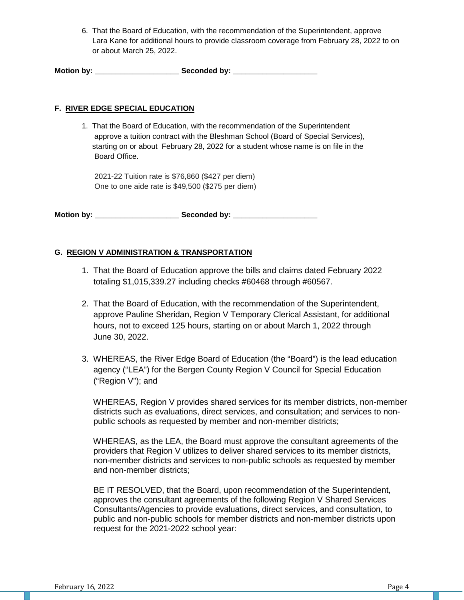6. That the Board of Education, with the recommendation of the Superintendent, approve Lara Kane for additional hours to provide classroom coverage from February 28, 2022 to on or about March 25, 2022.

**Motion by: \_\_\_\_\_\_\_\_\_\_\_\_\_\_\_\_\_\_\_\_ Seconded by: \_\_\_\_\_\_\_\_\_\_\_\_\_\_\_\_\_\_\_\_**

### **F. RIVER EDGE SPECIAL EDUCATION**

1. That the Board of Education, with the recommendation of the Superintendent approve a tuition contract with the Bleshman School (Board of Special Services), starting on or about February 28, 2022 for a student whose name is on file in the Board Office.

 2021-22 Tuition rate is \$76,860 (\$427 per diem) One to one aide rate is \$49,500 (\$275 per diem)

**Motion by: \_\_\_\_\_\_\_\_\_\_\_\_\_\_\_\_\_\_\_\_ Seconded by: \_\_\_\_\_\_\_\_\_\_\_\_\_\_\_\_\_\_\_\_**

## **G. REGION V ADMINISTRATION & TRANSPORTATION**

- 1. That the Board of Education approve the bills and claims dated February 2022 totaling \$1,015,339.27 including checks #60468 through #60567.
- 2. That the Board of Education, with the recommendation of the Superintendent, approve Pauline Sheridan, Region V Temporary Clerical Assistant, for additional hours, not to exceed 125 hours, starting on or about March 1, 2022 through June 30, 2022.
- 3. WHEREAS, the River Edge Board of Education (the "Board") is the lead education agency ("LEA") for the Bergen County Region V Council for Special Education ("Region V"); and

 WHEREAS, Region V provides shared services for its member districts, non-member districts such as evaluations, direct services, and consultation; and services to non public schools as requested by member and non-member districts;

 WHEREAS, as the LEA, the Board must approve the consultant agreements of the providers that Region V utilizes to deliver shared services to its member districts, non-member districts and services to non-public schools as requested by member and non-member districts;

 BE IT RESOLVED, that the Board, upon recommendation of the Superintendent, approves the consultant agreements of the following Region V Shared Services Consultants/Agencies to provide evaluations, direct services, and consultation, to public and non-public schools for member districts and non-member districts upon request for the 2021-2022 school year: